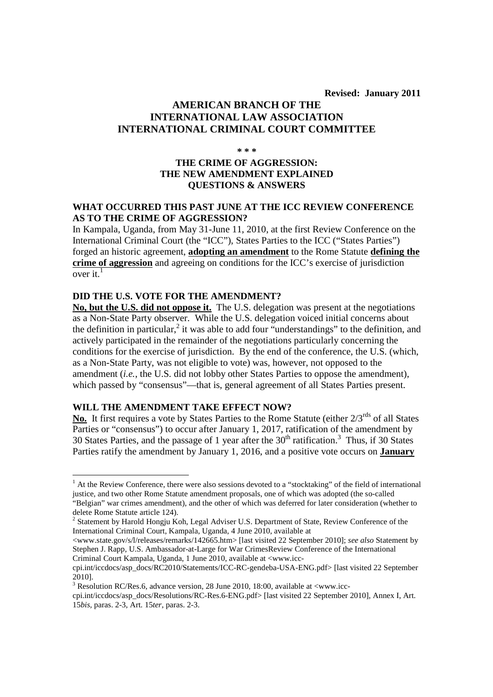**Revised: January 2011** 

# **AMERICAN BRANCH OF THE INTERNATIONAL LAW ASSOCIATION INTERNATIONAL CRIMINAL COURT COMMITTEE**

**\* \* \*** 

# **THE CRIME OF AGGRESSION: THE NEW AMENDMENT EXPLAINED QUESTIONS & ANSWERS**

## **WHAT OCCURRED THIS PAST JUNE AT THE ICC REVIEW CONFERENCE AS TO THE CRIME OF AGGRESSION?**

In Kampala, Uganda, from May 31-June 11, 2010, at the first Review Conference on the International Criminal Court (the "ICC"), States Parties to the ICC ("States Parties") forged an historic agreement, **adopting an amendment** to the Rome Statute **defining the crime of aggression** and agreeing on conditions for the ICC's exercise of jurisdiction over it. $<sup>1</sup>$ </sup>

## **DID THE U.S. VOTE FOR THE AMENDMENT?**

**No, but the U.S. did not oppose it.** The U.S. delegation was present at the negotiations as a Non-State Party observer. While the U.S. delegation voiced initial concerns about the definition in particular,<sup>2</sup> it was able to add four "understandings" to the definition, and actively participated in the remainder of the negotiations particularly concerning the conditions for the exercise of jurisdiction. By the end of the conference, the U.S. (which, as a Non-State Party, was not eligible to vote) was, however, not opposed to the amendment (*i.e.*, the U.S. did not lobby other States Parties to oppose the amendment), which passed by "consensus"—that is, general agreement of all States Parties present.

# **WILL THE AMENDMENT TAKE EFFECT NOW?**

-

No. It first requires a vote by States Parties to the Rome Statute (either  $2/3^{rds}$  of all States Parties or "consensus") to occur after January 1, 2017, ratification of the amendment by 30 States Parties, and the passage of 1 year after the  $30<sup>th</sup>$  ratification.<sup>3</sup> Thus, if 30 States Parties ratify the amendment by January 1, 2016, and a positive vote occurs on **January** 

<sup>&</sup>lt;sup>1</sup> At the Review Conference, there were also sessions devoted to a "stocktaking" of the field of international justice, and two other Rome Statute amendment proposals, one of which was adopted (the so-called "Belgian" war crimes amendment), and the other of which was deferred for later consideration (whether to delete Rome Statute article 124).

<sup>&</sup>lt;sup>2</sup> Statement by Harold Hongju Koh, Legal Adviser U.S. Department of State, Review Conference of the International Criminal Court, Kampala, Uganda, 4 June 2010, available at

<sup>&</sup>lt;www.state.gov/s/l/releases/remarks/142665.htm> [last visited 22 September 2010]; *see also* Statement by Stephen J. Rapp, U.S. Ambassador-at-Large for War CrimesReview Conference of the International Criminal Court Kampala, Uganda, 1 June 2010, available at <www.icc-

cpi.int/iccdocs/asp\_docs/RC2010/Statements/ICC-RC-gendeba-USA-ENG.pdf> [last visited 22 September 2010].

 $3$  Resolution RC/Res.6, advance version, 28 June 2010, 18:00, available at  $\langle$ www.icc-

cpi.int/iccdocs/asp\_docs/Resolutions/RC-Res.6-ENG.pdf> [last visited 22 September 2010], Annex I, Art. 15*bis,* paras. 2-3, Art. 15*ter*, paras. 2-3.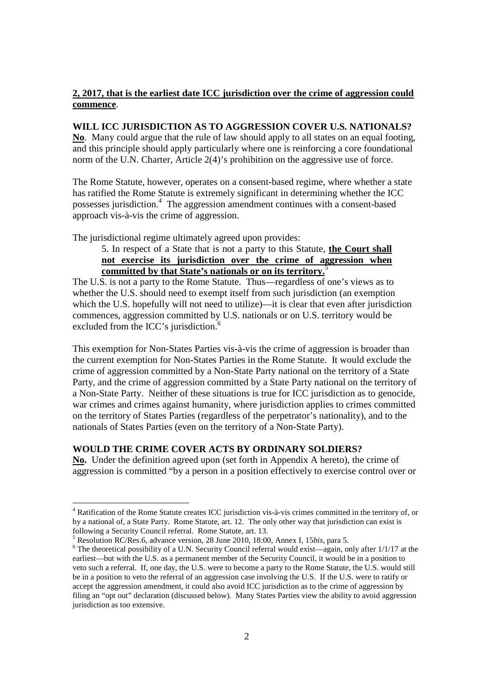## **2, 2017, that is the earliest date ICC jurisdiction over the crime of aggression could commence**.

### **WILL ICC JURISDICTION AS TO AGGRESSION COVER U.S. NATIONALS?**

**No**. Many could argue that the rule of law should apply to all states on an equal footing, and this principle should apply particularly where one is reinforcing a core foundational norm of the U.N. Charter, Article 2(4)'s prohibition on the aggressive use of force.

The Rome Statute, however, operates on a consent-based regime, where whether a state has ratified the Rome Statute is extremely significant in determining whether the ICC possesses jurisdiction.<sup>4</sup> The aggression amendment continues with a consent-based approach vis-à-vis the crime of aggression.

The jurisdictional regime ultimately agreed upon provides:

5. In respect of a State that is not a party to this Statute, **the Court shall not exercise its jurisdiction over the crime of aggression when committed by that State's nationals or on its territory.**<sup>5</sup>

The U.S. is not a party to the Rome Statute. Thus—regardless of one's views as to whether the U.S. should need to exempt itself from such jurisdiction (an exemption which the U.S. hopefully will not need to utilize)—it is clear that even after jurisdiction commences, aggression committed by U.S. nationals or on U.S. territory would be excluded from the ICC's jurisdiction.<sup>6</sup>

This exemption for Non-States Parties vis-à-vis the crime of aggression is broader than the current exemption for Non-States Parties in the Rome Statute. It would exclude the crime of aggression committed by a Non-State Party national on the territory of a State Party, and the crime of aggression committed by a State Party national on the territory of a Non-State Party. Neither of these situations is true for ICC jurisdiction as to genocide, war crimes and crimes against humanity, where jurisdiction applies to crimes committed on the territory of States Parties (regardless of the perpetrator's nationality), and to the nationals of States Parties (even on the territory of a Non-State Party).

## **WOULD THE CRIME COVER ACTS BY ORDINARY SOLDIERS?**

**No.** Under the definition agreed upon (set forth in Appendix A hereto), the crime of aggression is committed "by a person in a position effectively to exercise control over or

<sup>&</sup>lt;sup>4</sup> Ratification of the Rome Statute creates ICC jurisdiction vis-à-vis crimes committed in the territory of, or by a national of, a State Party. Rome Statute, art. 12. The only other way that jurisdiction can exist is following a Security Council referral. Rome Statute, art. 13.

<sup>5</sup> Resolution RC/Res.6, advance version, 28 June 2010, 18:00, Annex I, 15*bis*, para 5.

<sup>&</sup>lt;sup>6</sup> The theoretical possibility of a U.N. Security Council referral would exist—again, only after 1/1/17 at the earliest—but with the U.S. as a permanent member of the Security Council, it would be in a position to veto such a referral. If, one day, the U.S. were to become a party to the Rome Statute, the U.S. would still be in a position to veto the referral of an aggression case involving the U.S. If the U.S. were to ratify or accept the aggression amendment, it could also avoid ICC jurisdiction as to the crime of aggression by filing an "opt out" declaration (discussed below). Many States Parties view the ability to avoid aggression jurisdiction as too extensive.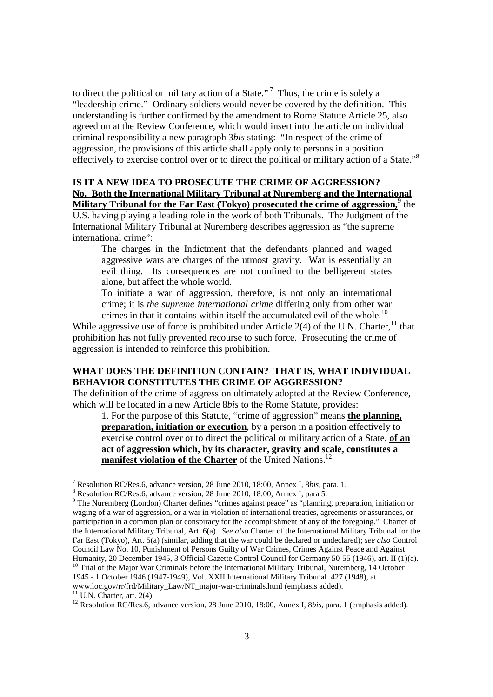to direct the political or military action of a State."<sup>7</sup> Thus, the crime is solely a "leadership crime." Ordinary soldiers would never be covered by the definition. This understanding is further confirmed by the amendment to Rome Statute Article 25, also agreed on at the Review Conference, which would insert into the article on individual criminal responsibility a new paragraph 3*bis* stating: "In respect of the crime of aggression, the provisions of this article shall apply only to persons in a position effectively to exercise control over or to direct the political or military action of a State."<sup>8</sup>

## **IS IT A NEW IDEA TO PROSECUTE THE CRIME OF AGGRESSION? No. Both the International Military Tribunal at Nuremberg and the International Military Tribunal for the Far East (Tokyo) prosecuted the crime of aggression,** the

U.S. having playing a leading role in the work of both Tribunals. The Judgment of the International Military Tribunal at Nuremberg describes aggression as "the supreme international crime":

The charges in the Indictment that the defendants planned and waged aggressive wars are charges of the utmost gravity. War is essentially an evil thing. Its consequences are not confined to the belligerent states alone, but affect the whole world.

To initiate a war of aggression, therefore, is not only an international crime; it is *the supreme international crime* differing only from other war crimes in that it contains within itself the accumulated evil of the whole.<sup>10</sup>

While aggressive use of force is prohibited under Article  $2(4)$  of the U.N. Charter,  $^{11}$  that prohibition has not fully prevented recourse to such force. Prosecuting the crime of aggression is intended to reinforce this prohibition.

# **WHAT DOES THE DEFINITION CONTAIN? THAT IS, WHAT INDIVIDUAL BEHAVIOR CONSTITUTES THE CRIME OF AGGRESSION?**

The definition of the crime of aggression ultimately adopted at the Review Conference, which will be located in a new Article 8*bis* to the Rome Statute, provides:

1. For the purpose of this Statute, "crime of aggression" means **the planning, preparation, initiation or execution**, by a person in a position effectively to exercise control over or to direct the political or military action of a State, **of an act of aggression which, by its character, gravity and scale, constitutes a manifest violation of the Charter** of the United Nations.<sup>12</sup>

1945 - 1 October 1946 (1947-1949), Vol. XXII International Military Tribunal 427 (1948), at www.loc.gov/rr/frd/Military\_Law/NT\_major-war-criminals.html (emphasis added).

 $11$  U.N. Charter, art. 2(4).

<sup>12</sup> Resolution RC/Res.6, advance version, 28 June 2010, 18:00, Annex I, 8*bis, para.* 1 (emphasis added).

 7 Resolution RC/Res.6, advance version, 28 June 2010, 18:00, Annex I, 8*bis,* para. 1.

 $8$  Resolution RC/Res.6, advance version, 28 June 2010, 18:00, Annex I, para 5.

<sup>&</sup>lt;sup>9</sup> The Nuremberg (London) Charter defines "crimes against peace" as "planning, preparation, initiation or waging of a war of aggression, or a war in violation of international treaties, agreements or assurances, or participation in a common plan or conspiracy for the accomplishment of any of the foregoing." Charter of the International Military Tribunal, Art. 6(a). *See also* Charter of the International Military Tribunal for the Far East (Tokyo), Art. 5(a) (similar, adding that the war could be declared or undeclared); *see also* Control Council Law No. 10, Punishment of Persons Guilty of War Crimes, Crimes Against Peace and Against Humanity, 20 December 1945, 3 Official Gazette Control Council for Germany 50-55 (1946), art. II (1)(a). <sup>10</sup> Trial of the Major War Criminals before the International Military Tribunal, Nuremberg, 14 October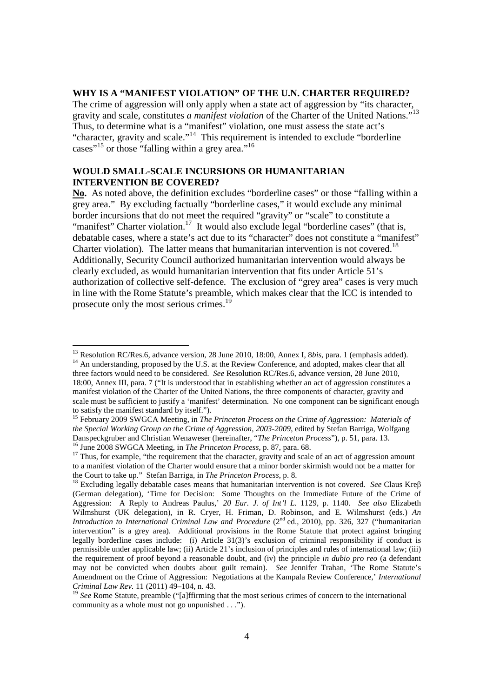#### **WHY IS A "MANIFEST VIOLATION" OF THE U.N. CHARTER REQUIRED?**

The crime of aggression will only apply when a state act of aggression by "its character, gravity and scale, constitutes *a manifest violation* of the Charter of the United Nations."<sup>13</sup> Thus, to determine what is a "manifest" violation, one must assess the state act's "character, gravity and scale."<sup>14</sup> This requirement is intended to exclude "borderline cases"<sup>15</sup> or those "falling within a grey area."<sup>16</sup>

## **WOULD SMALL-SCALE INCURSIONS OR HUMANITARIAN INTERVENTION BE COVERED?**

-

**No.** As noted above, the definition excludes "borderline cases" or those "falling within a grey area." By excluding factually "borderline cases," it would exclude any minimal border incursions that do not meet the required "gravity" or "scale" to constitute a "manifest" Charter violation.<sup>17</sup> It would also exclude legal "borderline cases" (that is, debatable cases, where a state's act due to its "character" does not constitute a "manifest" Charter violation). The latter means that humanitarian intervention is not covered.<sup>18</sup> Additionally, Security Council authorized humanitarian intervention would always be clearly excluded, as would humanitarian intervention that fits under Article 51's authorization of collective self-defence. The exclusion of "grey area" cases is very much in line with the Rome Statute's preamble, which makes clear that the ICC is intended to prosecute only the most serious crimes.<sup>1</sup>

<sup>&</sup>lt;sup>13</sup> Resolution RC/Res.6, advance version, 28 June 2010, 18:00, Annex I, 8bis, para. 1 (emphasis added). <sup>14</sup> An understanding, proposed by the U.S. at the Review Conference, and adopted, makes clear that all three factors would need to be considered. *See* Resolution RC/Res.6, advance version, 28 June 2010, 18:00, Annex III, para. 7 ("It is understood that in establishing whether an act of aggression constitutes a manifest violation of the Charter of the United Nations, the three components of character, gravity and scale must be sufficient to justify a 'manifest' determination. No one component can be significant enough to satisfy the manifest standard by itself.").

<sup>&</sup>lt;sup>15</sup> February 2009 SWGCA Meeting, in *The Princeton Process on the Crime of Aggression: Materials of the Special Working Group on the Crime of Aggression, 2003-2009*, edited by Stefan Barriga, Wolfgang Danspeckgruber and Christian Wenaweser (hereinafter, "*The Princeton Process*"), p. 51, para. 13. <sup>16</sup> June 2008 SWGCA Meeting, in *The Princeton Process*, p. 87, para. 68.

<sup>&</sup>lt;sup>17</sup> Thus, for example, "the requirement that the character, gravity and scale of an act of aggression amount to a manifest violation of the Charter would ensure that a minor border skirmish would not be a matter for the Court to take up." Stefan Barriga, in *The Princeton Process*, p. 8.

<sup>18</sup> Excluding legally debatable cases means that humanitarian intervention is not covered. *See* Claus Kreβ (German delegation), 'Time for Decision: Some Thoughts on the Immediate Future of the Crime of Aggression: A Reply to Andreas Paulus,' *20 Eur. J. of Int'l L.* 1129, p. 1140. *See also* Elizabeth Wilmshurst (UK delegation), in R. Cryer, H. Friman, D. Robinson, and E. Wilmshurst (eds.) *An Introduction to International Criminal Law and Procedure* (2<sup>nd</sup> ed., 2010), pp. 326, 327 ("humanitarian intervention" is a grey area). Additional provisions in the Rome Statute that protect against bringing legally borderline cases include: (i) Article 31(3)'s exclusion of criminal responsibility if conduct is permissible under applicable law; (ii) Article 21's inclusion of principles and rules of international law; (iii) the requirement of proof beyond a reasonable doubt, and (iv) the principle *in dubio pro reo* (a defendant may not be convicted when doubts about guilt remain). *See* Jennifer Trahan, 'The Rome Statute's Amendment on the Crime of Aggression: Negotiations at the Kampala Review Conference,' *International Criminal Law Rev.* 11 (2011) 49–104, n. 43.

<sup>&</sup>lt;sup>19</sup> See Rome Statute, preamble ("[a]ffirming that the most serious crimes of concern to the international community as a whole must not go unpunished . . .").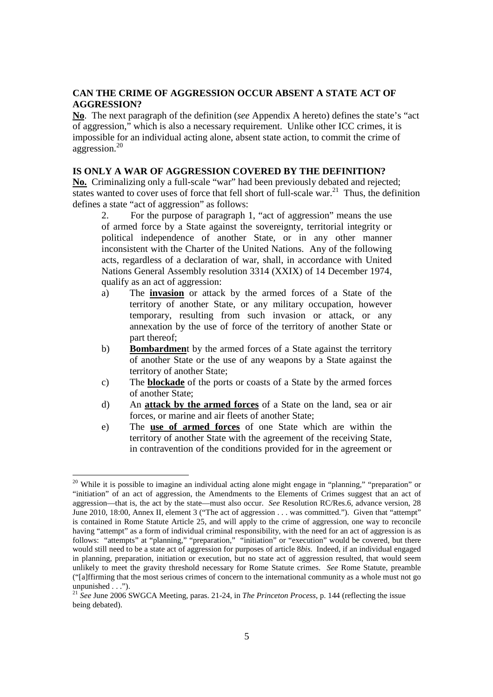### **CAN THE CRIME OF AGGRESSION OCCUR ABSENT A STATE ACT OF AGGRESSION?**

**No**. The next paragraph of the definition (*see* Appendix A hereto) defines the state's "act of aggression," which is also a necessary requirement. Unlike other ICC crimes, it is impossible for an individual acting alone, absent state action, to commit the crime of aggression.<sup>20</sup>

#### **IS ONLY A WAR OF AGGRESSION COVERED BY THE DEFINITION?**

**No.** Criminalizing only a full-scale "war" had been previously debated and rejected; states wanted to cover uses of force that fell short of full-scale war.<sup>21</sup> Thus, the definition defines a state "act of aggression" as follows:

2. For the purpose of paragraph 1, "act of aggression" means the use of armed force by a State against the sovereignty, territorial integrity or political independence of another State, or in any other manner inconsistent with the Charter of the United Nations. Any of the following acts, regardless of a declaration of war, shall, in accordance with United Nations General Assembly resolution 3314 (XXIX) of 14 December 1974, qualify as an act of aggression:

- a) The **invasion** or attack by the armed forces of a State of the territory of another State, or any military occupation, however temporary, resulting from such invasion or attack, or any annexation by the use of force of the territory of another State or part thereof;
- b) **Bombardmen**t by the armed forces of a State against the territory of another State or the use of any weapons by a State against the territory of another State;
- c) The **blockade** of the ports or coasts of a State by the armed forces of another State;
- d) An **attack by the armed forces** of a State on the land, sea or air forces, or marine and air fleets of another State;
- e) The **use of armed forces** of one State which are within the territory of another State with the agreement of the receiving State, in contravention of the conditions provided for in the agreement or

<sup>&</sup>lt;sup>20</sup> While it is possible to imagine an individual acting alone might engage in "planning," "preparation" or "initiation" of an act of aggression, the Amendments to the Elements of Crimes suggest that an act of aggression—that is, the act by the state—must also occur. *See* Resolution RC/Res.6, advance version, 28 June 2010, 18:00, Annex II, element 3 ("The act of aggression . . . was committed."). Given that "attempt" is contained in Rome Statute Article 25, and will apply to the crime of aggression, one way to reconcile having "attempt" as a form of individual criminal responsibility, with the need for an act of aggression is as follows: "attempts" at "planning," "preparation," "initiation" or "execution" would be covered, but there would still need to be a state act of aggression for purposes of article 8*bis*. Indeed, if an individual engaged in planning, preparation, initiation or execution, but no state act of aggression resulted, that would seem unlikely to meet the gravity threshold necessary for Rome Statute crimes. *See* Rome Statute, preamble ("[a]ffirming that the most serious crimes of concern to the international community as a whole must not go unpunished  $\ldots$ ").

<sup>21</sup> *See* June 2006 SWGCA Meeting, paras. 21-24, in *The Princeton Process*, p. 144 (reflecting the issue being debated).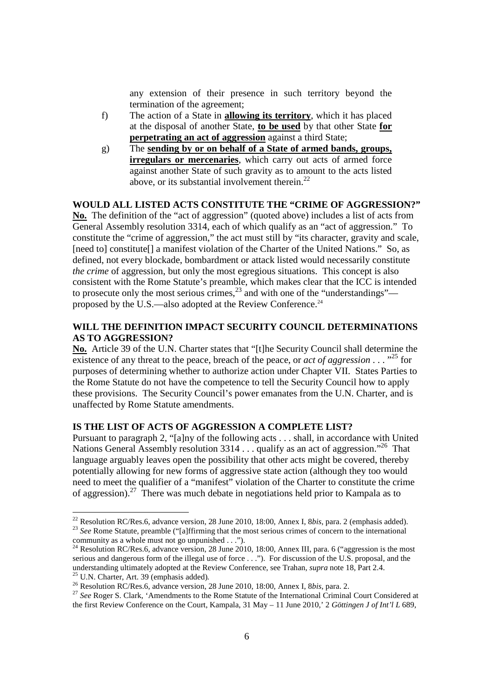any extension of their presence in such territory beyond the termination of the agreement;

- f) The action of a State in **allowing its territory**, which it has placed at the disposal of another State, **to be used** by that other State **for perpetrating an act of aggression** against a third State;
- g) The **sending by or on behalf of a State of armed bands, groups, irregulars or mercenaries**, which carry out acts of armed force against another State of such gravity as to amount to the acts listed above, or its substantial involvement therein.<sup>22</sup>

#### **WOULD ALL LISTED ACTS CONSTITUTE THE "CRIME OF AGGRESSION?"**

**No.** The definition of the "act of aggression" (quoted above) includes a list of acts from General Assembly resolution 3314, each of which qualify as an "act of aggression." To constitute the "crime of aggression," the act must still by "its character, gravity and scale, [need to] constitute[] a manifest violation of the Charter of the United Nations." So, as defined, not every blockade, bombardment or attack listed would necessarily constitute *the crime* of aggression, but only the most egregious situations. This concept is also consistent with the Rome Statute's preamble, which makes clear that the ICC is intended to prosecute only the most serious crimes,  $^{23}$  and with one of the "understandings" proposed by the U.S.—also adopted at the Review Conference.<sup>24</sup>

## **WILL THE DEFINITION IMPACT SECURITY COUNCIL DETERMINATIONS AS TO AGGRESSION?**

**No.** Article 39 of the U.N. Charter states that "[t]he Security Council shall determine the existence of any threat to the peace, breach of the peace, or *act of aggression* . . . "<sup>25</sup> for purposes of determining whether to authorize action under Chapter VII. States Parties to the Rome Statute do not have the competence to tell the Security Council how to apply these provisions. The Security Council's power emanates from the U.N. Charter, and is unaffected by Rome Statute amendments.

## **IS THE LIST OF ACTS OF AGGRESSION A COMPLETE LIST?**

Pursuant to paragraph 2, "[a]ny of the following acts . . . shall, in accordance with United Nations General Assembly resolution  $3314...$  qualify as an act of aggression."<sup>26</sup> That language arguably leaves open the possibility that other acts might be covered, thereby potentially allowing for new forms of aggressive state action (although they too would need to meet the qualifier of a "manifest" violation of the Charter to constitute the crime of aggression).<sup>27</sup> There was much debate in negotiations held prior to Kampala as to

<sup>22</sup> Resolution RC/Res.6, advance version, 28 June 2010, 18:00, Annex I, 8*bis*, para. 2 (emphasis added). <sup>23</sup> See Rome Statute, preamble ("[a]ffirming that the most serious crimes of concern to the international community as a whole must not go unpunished . . .").

 $24$  Resolution RC/Res.6, advance version, 28 June 2010, 18:00, Annex III, para. 6 ("aggression is the most serious and dangerous form of the illegal use of force . . ."). For discussion of the U.S. proposal, and the understanding ultimately adopted at the Review Conference, see Trahan, *supra* note 18, Part 2.4. <sup>25</sup> U.N. Charter, Art. 39 (emphasis added)*.*

<sup>26</sup> Resolution RC/Res.6, advance version, 28 June 2010, 18:00, Annex I, 8*bis*, para. 2.

<sup>&</sup>lt;sup>27</sup> See Roger S. Clark, 'Amendments to the Rome Statute of the International Criminal Court Considered at the first Review Conference on the Court, Kampala, 31 May – 11 June 2010,' 2 *Göttingen J of Int'l L* 689,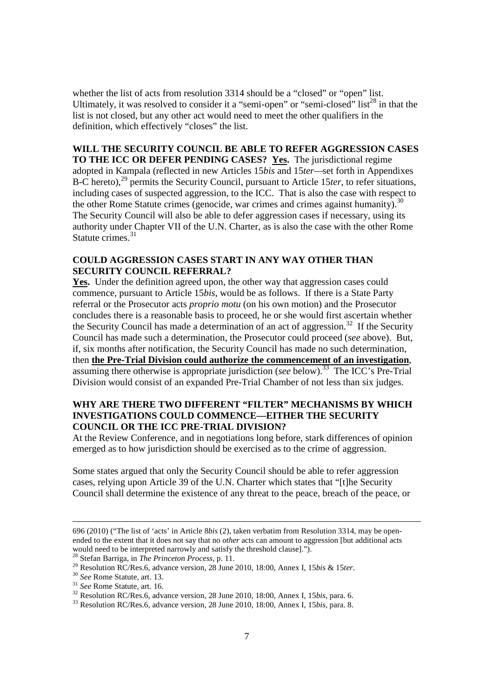whether the list of acts from resolution 3314 should be a "closed" or "open" list. Ultimately, it was resolved to consider it a "semi-open" or "semi-closed" list<sup>28</sup> in that the list is not closed, but any other act would need to meet the other qualifiers in the definition, which effectively "closes" the list.

### **WILL THE SECURITY COUNCIL BE ABLE TO REFER AGGRESSION CASES TO THE ICC OR DEFER PENDING CASES? Yes.** The jurisdictional regime

adopted in Kampala (reflected in new Articles 15*bis* and 15*ter—*set forth in Appendixes B-C hereto),<sup>29</sup> permits the Security Council, pursuant to Article 15*ter*, to refer situations, including cases of suspected aggression, to the ICC. That is also the case with respect to the other Rome Statute crimes (genocide, war crimes and crimes against humanity).<sup>30</sup> The Security Council will also be able to defer aggression cases if necessary, using its authority under Chapter VII of the U.N. Charter, as is also the case with the other Rome Statute crimes.<sup>31</sup>

## **COULD AGGRESSION CASES START IN ANY WAY OTHER THAN SECURITY COUNCIL REFERRAL?**

Yes. Under the definition agreed upon, the other way that aggression cases could commence, pursuant to Article 15*bis*, would be as follows. If there is a State Party referral or the Prosecutor acts *proprio motu* (on his own motion) and the Prosecutor concludes there is a reasonable basis to proceed, he or she would first ascertain whether the Security Council has made a determination of an act of aggression.<sup>32</sup> If the Security Council has made such a determination, the Prosecutor could proceed (*see* above). But, if, six months after notification, the Security Council has made no such determination, then **the Pre-Trial Division could authorize the commencement of an investigation**, assuming there otherwise is appropriate jurisdiction (*see* below).<sup>33</sup> The ICC's Pre-Trial Division would consist of an expanded Pre-Trial Chamber of not less than six judges.

## **WHY ARE THERE TWO DIFFERENT "FILTER" MECHANISMS BY WHICH INVESTIGATIONS COULD COMMENCE—EITHER THE SECURITY COUNCIL OR THE ICC PRE-TRIAL DIVISION?**

At the Review Conference, and in negotiations long before, stark differences of opinion emerged as to how jurisdiction should be exercised as to the crime of aggression.

Some states argued that only the Security Council should be able to refer aggression cases, relying upon Article 39 of the U.N. Charter which states that "[t]he Security Council shall determine the existence of any threat to the peace, breach of the peace, or

l

<sup>696 (2010) (&</sup>quot;The list of 'acts' in Article 8*bis* (2), taken verbatim from Resolution 3314, may be openended to the extent that it does not say that no *other* acts can amount to aggression [but additional acts would need to be interpreted narrowly and satisfy the threshold clause].").

<sup>28</sup> Stefan Barriga, in *The Princeton Process*, p. 11.

<sup>29</sup> Resolution RC/Res.6, advance version, 28 June 2010, 18:00, Annex I, 15*bis* & 15*ter*.

<sup>30</sup> *See* Rome Statute, art. 13.

<sup>31</sup> *See* Rome Statute, art. 16.

<sup>32</sup> Resolution RC/Res.6, advance version, 28 June 2010, 18:00, Annex I, 15*bis*, para. 6.

<sup>33</sup> Resolution RC/Res.6, advance version, 28 June 2010, 18:00, Annex I, 15*bis,* para. 8.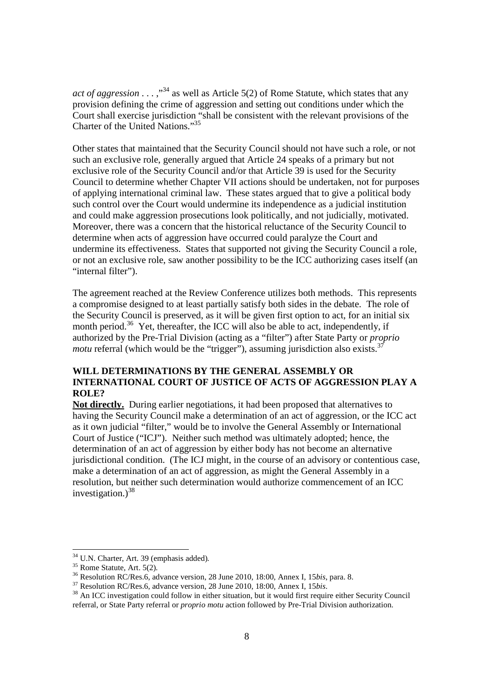*act of aggression* . . . ,"<sup>34</sup> as well as Article 5(2) of Rome Statute, which states that any provision defining the crime of aggression and setting out conditions under which the Court shall exercise jurisdiction "shall be consistent with the relevant provisions of the Charter of the United Nations."<sup>35</sup>

Other states that maintained that the Security Council should not have such a role, or not such an exclusive role, generally argued that Article 24 speaks of a primary but not exclusive role of the Security Council and/or that Article 39 is used for the Security Council to determine whether Chapter VII actions should be undertaken, not for purposes of applying international criminal law. These states argued that to give a political body such control over the Court would undermine its independence as a judicial institution and could make aggression prosecutions look politically, and not judicially, motivated. Moreover, there was a concern that the historical reluctance of the Security Council to determine when acts of aggression have occurred could paralyze the Court and undermine its effectiveness. States that supported not giving the Security Council a role, or not an exclusive role, saw another possibility to be the ICC authorizing cases itself (an "internal filter").

The agreement reached at the Review Conference utilizes both methods. This represents a compromise designed to at least partially satisfy both sides in the debate. The role of the Security Council is preserved, as it will be given first option to act, for an initial six month period.<sup>36</sup> Yet, thereafter, the ICC will also be able to act, independently, if authorized by the Pre-Trial Division (acting as a "filter") after State Party or *proprio motu* referral (which would be the "trigger"), assuming jurisdiction also exists.<sup>37</sup>

# **WILL DETERMINATIONS BY THE GENERAL ASSEMBLY OR INTERNATIONAL COURT OF JUSTICE OF ACTS OF AGGRESSION PLAY A ROLE?**

**Not directly.** During earlier negotiations, it had been proposed that alternatives to having the Security Council make a determination of an act of aggression, or the ICC act as it own judicial "filter," would be to involve the General Assembly or International Court of Justice ("ICJ"). Neither such method was ultimately adopted; hence, the determination of an act of aggression by either body has not become an alternative jurisdictional condition. (The ICJ might, in the course of an advisory or contentious case, make a determination of an act of aggression, as might the General Assembly in a resolution, but neither such determination would authorize commencement of an ICC investigation.) $38$ 

<sup>34</sup> U.N. Charter, Art. 39 (emphasis added)*.*

<sup>35</sup> Rome Statute, Art. 5(2)*.* 

<sup>36</sup> Resolution RC/Res.6, advance version, 28 June 2010, 18:00, Annex I, 15*bis*, para. 8.

<sup>&</sup>lt;sup>37</sup> Resolution RC/Res.6, advance version, 28 June 2010, 18:00, Annex I, 15*bis.* 

<sup>&</sup>lt;sup>38</sup> An ICC investigation could follow in either situation, but it would first require either Security Council referral, or State Party referral or *proprio motu* action followed by Pre-Trial Division authorization.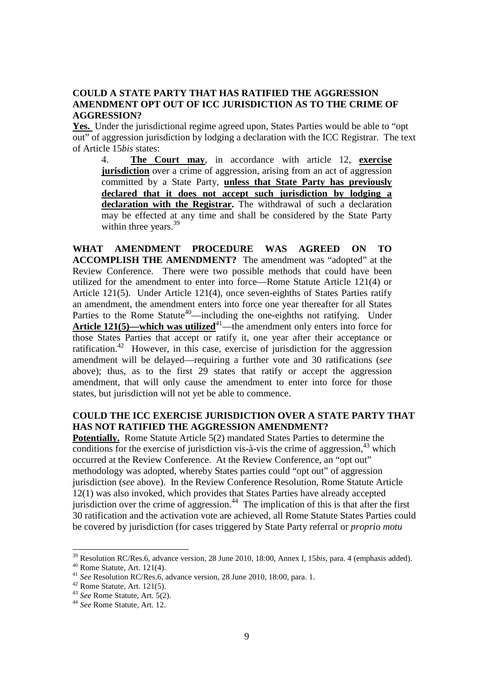#### **COULD A STATE PARTY THAT HAS RATIFIED THE AGGRESSION AMENDMENT OPT OUT OF ICC JURISDICTION AS TO THE CRIME OF AGGRESSION?**

**Yes.** Under the jurisdictional regime agreed upon, States Parties would be able to "opt out" of aggression jurisdiction by lodging a declaration with the ICC Registrar. The text of Article 15*bis* states:

4. **The Court may**, in accordance with article 12, **exercise jurisdiction** over a crime of aggression, arising from an act of aggression committed by a State Party, **unless that State Party has previously declared that it does not accept such jurisdiction by lodging a declaration with the Registrar.** The withdrawal of such a declaration may be effected at any time and shall be considered by the State Party within three years.<sup>39</sup>

**WHAT AMENDMENT PROCEDURE WAS AGREED ON TO ACCOMPLISH THE AMENDMENT?** The amendment was "adopted" at the Review Conference. There were two possible methods that could have been utilized for the amendment to enter into force—Rome Statute Article 121(4) or Article 121(5). Under Article 121(4), once seven-eighths of States Parties ratify an amendment, the amendment enters into force one year thereafter for all States Parties to the Rome Statute<sup>40</sup>—including the one-eighths not ratifying. Under **Article 121(5)—which was utilized**<sup>41</sup>—the amendment only enters into force for those States Parties that accept or ratify it, one year after their acceptance or ratification.<sup>42</sup> However, in this case, exercise of jurisdiction for the aggression amendment will be delayed—requiring a further vote and 30 ratifications (*see* above); thus, as to the first 29 states that ratify or accept the aggression amendment, that will only cause the amendment to enter into force for those states, but jurisdiction will not yet be able to commence.

## **COULD THE ICC EXERCISE JURISDICTION OVER A STATE PARTY THAT HAS NOT RATIFIED THE AGGRESSION AMENDMENT?**

**Potentially.** Rome Statute Article 5(2) mandated States Parties to determine the conditions for the exercise of jurisdiction vis-à-vis the crime of aggression,  $43$  which occurred at the Review Conference. At the Review Conference, an "opt out" methodology was adopted, whereby States parties could "opt out" of aggression jurisdiction (*see* above). In the Review Conference Resolution, Rome Statute Article 12(1) was also invoked, which provides that States Parties have already accepted jurisdiction over the crime of aggression.<sup>44</sup> The implication of this is that after the first 30 ratification and the activation vote are achieved, all Rome Statute States Parties could be covered by jurisdiction (for cases triggered by State Party referral or *proprio motu* 

<sup>39</sup> Resolution RC/Res.6, advance version, 28 June 2010, 18:00, Annex I, 15*bis*, para. 4 (emphasis added).

 $40$  Rome Statute, Art. 121(4).

<sup>41</sup> *See* Resolution RC/Res.6, advance version, 28 June 2010, 18:00, para. 1.

 $42$  Rome Statute, Art. 121(5).

<sup>43</sup> *See* Rome Statute, Art. 5(2).

<sup>44</sup> *See* Rome Statute, Art. 12.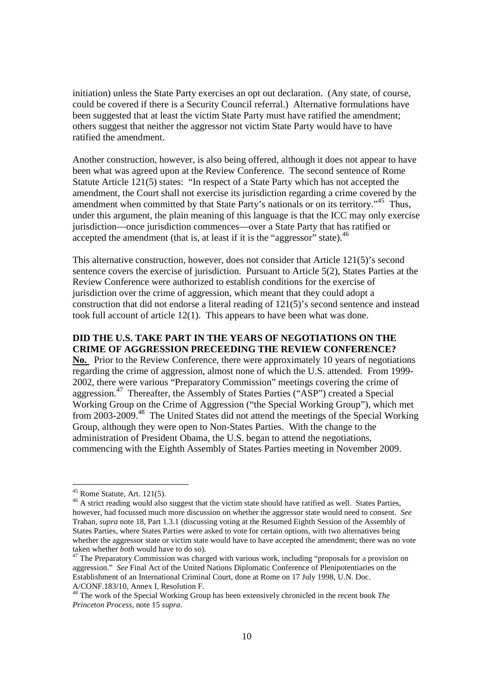initiation) unless the State Party exercises an opt out declaration. (Any state, of course, could be covered if there is a Security Council referral.) Alternative formulations have been suggested that at least the victim State Party must have ratified the amendment; others suggest that neither the aggressor not victim State Party would have to have ratified the amendment.

Another construction, however, is also being offered, although it does not appear to have been what was agreed upon at the Review Conference. The second sentence of Rome Statute Article 121(5) states: "In respect of a State Party which has not accepted the amendment, the Court shall not exercise its jurisdiction regarding a crime covered by the amendment when committed by that State Party's nationals or on its territory."<sup>45</sup> Thus, under this argument, the plain meaning of this language is that the ICC may only exercise jurisdiction—once jurisdiction commences—over a State Party that has ratified or accepted the amendment (that is, at least if it is the "aggressor" state).  $46$ 

This alternative construction, however, does not consider that Article 121(5)'s second sentence covers the exercise of jurisdiction. Pursuant to Article 5(2), States Parties at the Review Conference were authorized to establish conditions for the exercise of jurisdiction over the crime of aggression, which meant that they could adopt a construction that did not endorse a literal reading of 121(5)'s second sentence and instead took full account of article 12(1). This appears to have been what was done.

## **DID THE U.S. TAKE PART IN THE YEARS OF NEGOTIATIONS ON THE CRIME OF AGGRESSION PRECEEDING THE REVIEW CONFERENCE?**

**No.** Prior to the Review Conference, there were approximately 10 years of negotiations regarding the crime of aggression, almost none of which the U.S. attended. From 1999- 2002, there were various "Preparatory Commission" meetings covering the crime of aggression.<sup>47</sup> Thereafter, the Assembly of States Parties ("ASP") created a Special Working Group on the Crime of Aggression ("the Special Working Group"), which met from 2003-2009.<sup>48</sup> The United States did not attend the meetings of the Special Working Group, although they were open to Non-States Parties. With the change to the administration of President Obama, the U.S. began to attend the negotiations, commencing with the Eighth Assembly of States Parties meeting in November 2009.

 $45$  Rome Statute, Art. 121(5).

<sup>&</sup>lt;sup>46</sup> A strict reading would also suggest that the victim state should have ratified as well. States Parties, however, had focussed much more discussion on whether the aggressor state would need to consent. *See*  Trahan*, supra* note 18, Part 1.3.1 (discussing voting at the Resumed Eighth Session of the Assembly of States Parties, where States Parties were asked to vote for certain options, with two alternatives being whether the aggressor state or victim state would have to have accepted the amendment; there was no vote taken whether *both* would have to do so).

 $47$  The Preparatory Commission was charged with various work, including "proposals for a provision on aggression." *See* Final Act of the United Nations Diplomatic Conference of Plenipotentiaries on the Establishment of an International Criminal Court, done at Rome on 17 July 1998, U.N. Doc. A/CONF.183/10, Annex I, Resolution F.

<sup>48</sup> The work of the Special Working Group has been extensively chronicled in the recent book *The Princeton Process*, note 15 *supra*.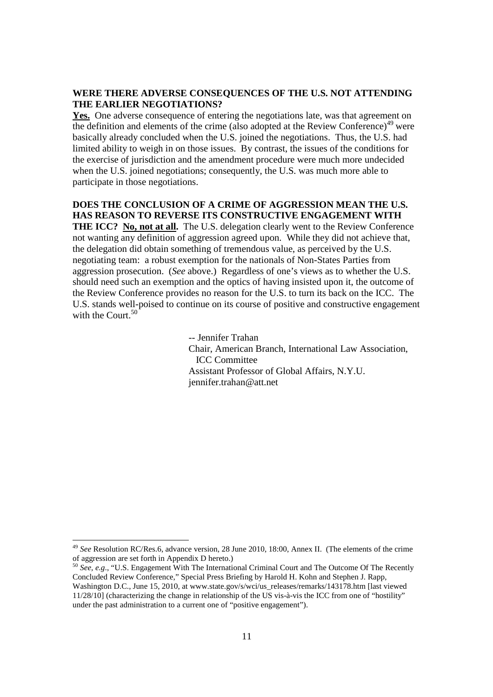#### **WERE THERE ADVERSE CONSEQUENCES OF THE U.S. NOT ATTENDING THE EARLIER NEGOTIATIONS?**

**Yes.** One adverse consequence of entering the negotiations late, was that agreement on the definition and elements of the crime (also adopted at the Review Conference)<sup>49</sup> were basically already concluded when the U.S. joined the negotiations. Thus, the U.S. had limited ability to weigh in on those issues. By contrast, the issues of the conditions for the exercise of jurisdiction and the amendment procedure were much more undecided when the U.S. joined negotiations; consequently, the U.S. was much more able to participate in those negotiations.

# **DOES THE CONCLUSION OF A CRIME OF AGGRESSION MEAN THE U.S. HAS REASON TO REVERSE ITS CONSTRUCTIVE ENGAGEMENT WITH**

**THE ICC?** No, not at all. The U.S. delegation clearly went to the Review Conference not wanting any definition of aggression agreed upon. While they did not achieve that, the delegation did obtain something of tremendous value, as perceived by the U.S. negotiating team: a robust exemption for the nationals of Non-States Parties from aggression prosecution. (*See* above.) Regardless of one's views as to whether the U.S. should need such an exemption and the optics of having insisted upon it, the outcome of the Review Conference provides no reason for the U.S. to turn its back on the ICC. The U.S. stands well-poised to continue on its course of positive and constructive engagement with the Court. $50$ 

> -- Jennifer Trahan Chair, American Branch, International Law Association, ICC Committee Assistant Professor of Global Affairs, N.Y.U. jennifer.trahan@att.net

<sup>49</sup> *See* Resolution RC/Res.6, advance version, 28 June 2010, 18:00, Annex II. (The elements of the crime of aggression are set forth in Appendix D hereto.)

<sup>50</sup> *See, e.g*., "U.S. Engagement With The International Criminal Court and The Outcome Of The Recently Concluded Review Conference," Special Press Briefing by Harold H. Kohn and Stephen J. Rapp, Washington D.C., June 15, 2010, at www.state.gov/s/wci/us\_releases/remarks/143178.htm [last viewed 11/28/10] (characterizing the change in relationship of the US vis-à-vis the ICC from one of "hostility" under the past administration to a current one of "positive engagement").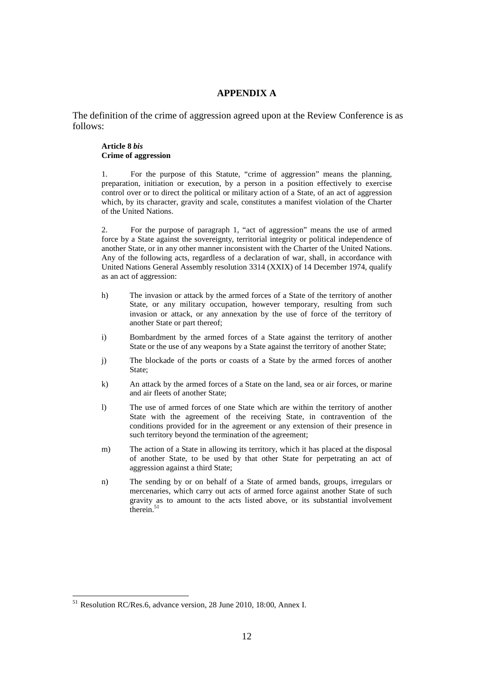### **APPENDIX A**

The definition of the crime of aggression agreed upon at the Review Conference is as follows:

#### **Article 8** *bis*  **Crime of aggression**

1. For the purpose of this Statute, "crime of aggression" means the planning, preparation, initiation or execution, by a person in a position effectively to exercise control over or to direct the political or military action of a State, of an act of aggression which, by its character, gravity and scale, constitutes a manifest violation of the Charter of the United Nations.

2. For the purpose of paragraph 1, "act of aggression" means the use of armed force by a State against the sovereignty, territorial integrity or political independence of another State, or in any other manner inconsistent with the Charter of the United Nations. Any of the following acts, regardless of a declaration of war, shall, in accordance with United Nations General Assembly resolution 3314 (XXIX) of 14 December 1974, qualify as an act of aggression:

- h) The invasion or attack by the armed forces of a State of the territory of another State, or any military occupation, however temporary, resulting from such invasion or attack, or any annexation by the use of force of the territory of another State or part thereof;
- i) Bombardment by the armed forces of a State against the territory of another State or the use of any weapons by a State against the territory of another State;
- j) The blockade of the ports or coasts of a State by the armed forces of another State;
- k) An attack by the armed forces of a State on the land, sea or air forces, or marine and air fleets of another State;
- l) The use of armed forces of one State which are within the territory of another State with the agreement of the receiving State, in contravention of the conditions provided for in the agreement or any extension of their presence in such territory beyond the termination of the agreement;
- m) The action of a State in allowing its territory, which it has placed at the disposal of another State, to be used by that other State for perpetrating an act of aggression against a third State;
- n) The sending by or on behalf of a State of armed bands, groups, irregulars or mercenaries, which carry out acts of armed force against another State of such gravity as to amount to the acts listed above, or its substantial involvement therein. $51$

<sup>&</sup>lt;sup>51</sup> Resolution RC/Res.6, advance version, 28 June 2010, 18:00, Annex I.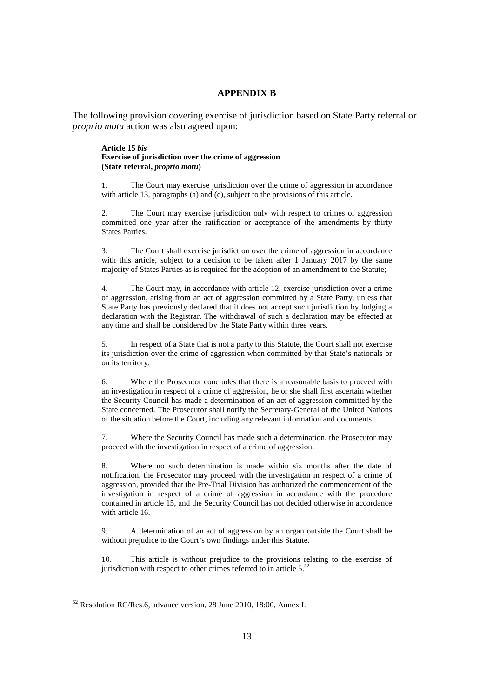#### **APPENDIX B**

The following provision covering exercise of jurisdiction based on State Party referral or *proprio motu* action was also agreed upon:

#### **Article 15** *bis*  **Exercise of jurisdiction over the crime of aggression (State referral,** *proprio motu***)**

1. The Court may exercise jurisdiction over the crime of aggression in accordance with article 13, paragraphs (a) and (c), subject to the provisions of this article.

The Court may exercise jurisdiction only with respect to crimes of aggression committed one year after the ratification or acceptance of the amendments by thirty States Parties.

3. The Court shall exercise jurisdiction over the crime of aggression in accordance with this article, subject to a decision to be taken after 1 January 2017 by the same majority of States Parties as is required for the adoption of an amendment to the Statute;

4. The Court may, in accordance with article 12, exercise jurisdiction over a crime of aggression, arising from an act of aggression committed by a State Party, unless that State Party has previously declared that it does not accept such jurisdiction by lodging a declaration with the Registrar. The withdrawal of such a declaration may be effected at any time and shall be considered by the State Party within three years.

5. In respect of a State that is not a party to this Statute, the Court shall not exercise its jurisdiction over the crime of aggression when committed by that State's nationals or on its territory.

6. Where the Prosecutor concludes that there is a reasonable basis to proceed with an investigation in respect of a crime of aggression, he or she shall first ascertain whether the Security Council has made a determination of an act of aggression committed by the State concerned. The Prosecutor shall notify the Secretary-General of the United Nations of the situation before the Court, including any relevant information and documents.

7. Where the Security Council has made such a determination, the Prosecutor may proceed with the investigation in respect of a crime of aggression.

8. Where no such determination is made within six months after the date of notification, the Prosecutor may proceed with the investigation in respect of a crime of aggression, provided that the Pre-Trial Division has authorized the commencement of the investigation in respect of a crime of aggression in accordance with the procedure contained in article 15, and the Security Council has not decided otherwise in accordance with article 16.

9. A determination of an act of aggression by an organ outside the Court shall be without prejudice to the Court's own findings under this Statute.

10. This article is without prejudice to the provisions relating to the exercise of jurisdiction with respect to other crimes referred to in article  $5<sup>52</sup>$ 

 $52$  Resolution RC/Res.6, advance version, 28 June 2010, 18:00, Annex I.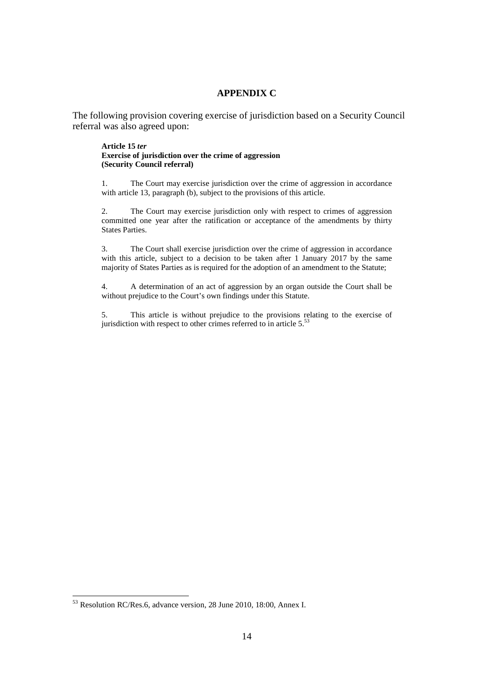#### **APPENDIX C**

The following provision covering exercise of jurisdiction based on a Security Council referral was also agreed upon:

#### **Article 15** *ter* **Exercise of jurisdiction over the crime of aggression (Security Council referral)**

1. The Court may exercise jurisdiction over the crime of aggression in accordance with article 13, paragraph (b), subject to the provisions of this article.

2. The Court may exercise jurisdiction only with respect to crimes of aggression committed one year after the ratification or acceptance of the amendments by thirty States Parties.

3. The Court shall exercise jurisdiction over the crime of aggression in accordance with this article, subject to a decision to be taken after 1 January 2017 by the same majority of States Parties as is required for the adoption of an amendment to the Statute;

4. A determination of an act of aggression by an organ outside the Court shall be without prejudice to the Court's own findings under this Statute.

5. This article is without prejudice to the provisions relating to the exercise of jurisdiction with respect to other crimes referred to in article  $5$ .<sup>53</sup>

<sup>&</sup>lt;sup>53</sup> Resolution RC/Res.6, advance version, 28 June 2010, 18:00, Annex I.